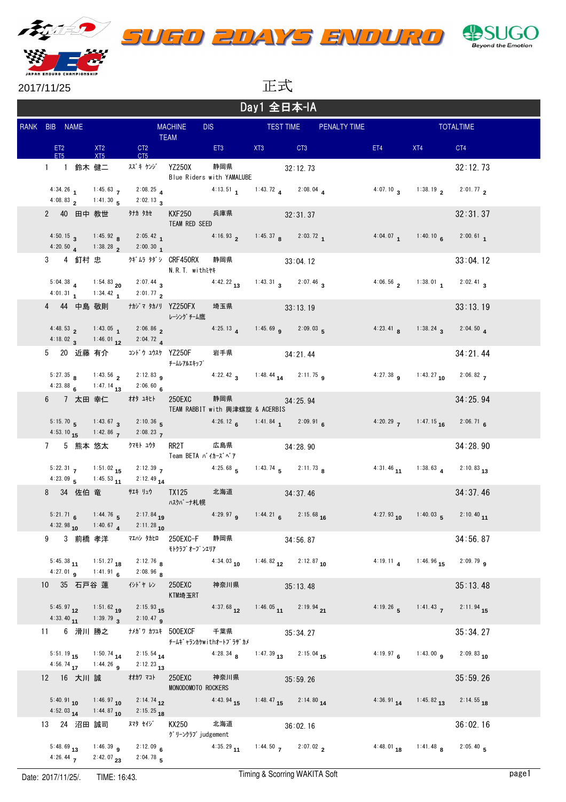





2017/11/25

正式

| Day1 全日本-IA |   |               |              |                   |                                                                                                               |                                                                                                        |                                       |  |                       |                                                                                                                        |                                       |                                                     |                  |
|-------------|---|---------------|--------------|-------------------|---------------------------------------------------------------------------------------------------------------|--------------------------------------------------------------------------------------------------------|---------------------------------------|--|-----------------------|------------------------------------------------------------------------------------------------------------------------|---------------------------------------|-----------------------------------------------------|------------------|
|             |   | RANK BIB NAME |              |                   | <b>MACHINE</b><br><b>TEAM</b>                                                                                 |                                                                                                        |                                       |  |                       | DIS TEST TIME PENALTY TIME<br>$\mathcal{L}(\mathcal{L})$ and $\mathcal{L}(\mathcal{L})$ and $\mathcal{L}(\mathcal{L})$ |                                       |                                                     | <b>TOTALTIME</b> |
|             |   | ET2 and       | ET5          | <b>XT2</b><br>XT5 |                                                                                                               | <b>CT2</b><br>CT5                                                                                      | ET3 XT3 CT3                           |  |                       |                                                                                                                        | ET4 and the state of the state of the | XT4                                                 | CT4              |
|             |   |               |              |                   | 1 1 鈴木 健二 スズキケゾ YZ250X                                                                                        | Blue Riders with YAMALUBE                                                                              | 静岡県 32:12.73                          |  |                       |                                                                                                                        |                                       |                                                     | 32:12.73         |
|             |   |               |              |                   | 4:34.26 1 1:45.63 7 2:08.25 4<br>4:08.83 2 1:41.30 5 2:02.13 3                                                |                                                                                                        | 4:13.51 1:43.72 4 2:08.04 4           |  |                       |                                                                                                                        |                                       | 4:07.10 $\frac{138.19}{2}$ 2:01.77 2                |                  |
|             |   |               |              |                   |                                                                                                               | KXF250<br>TEAM RED SEED                                                                                | 兵庫県 いっかい                              |  | 32:31.37              |                                                                                                                        |                                       |                                                     | 32:31.37         |
|             |   |               |              |                   | 4:20.50 $\alpha$ 1:38.28 $\alpha$ 2:00.30 $\alpha$                                                            | 4:50.15 <b>3</b> 1:45.92 <b>8</b> 2:05.42 <b>1</b> 4:16.93 <b>2</b> 1:45.37 <b>8</b> 2:03.72 <b>1</b>  |                                       |  |                       |                                                                                                                        |                                       | 4:04.07 1:40.10 6 2:00.61 1                         |                  |
|             |   |               |              |                   | 3 4 釘村 忠 クギムラ タダシ CRF450RX                                                                                    | N.R.T. withミヤキ                                                                                         | 静岡県                                   |  | 33:04.12              |                                                                                                                        |                                       |                                                     | 33:04.12         |
|             |   |               |              |                   | 5:04.38 4 1:54.83 20 2:07.44 3<br>4:01.31 1 1:34.42 1 2:01.77 2                                               |                                                                                                        | 4:42.22 13 1:43.31 3 2:07.46 3        |  |                       |                                                                                                                        |                                       | 4:06.56 2 1:38.01 2:02.41 3                         |                  |
|             |   |               |              |                   | 4 44 中島 敬則   ナカジマ タカノリ YZ250FX                                                                                | レーシング チーム鷹                                                                                             | 埼玉県                                   |  | 33:13.19              |                                                                                                                        |                                       |                                                     | 33:13.19         |
|             |   |               |              |                   | 4:48.53 2 1:43.05 1 2:06.86 2<br>4:18.02 $3^{1:46.01}$ 12 $2:04.72$ 4                                         |                                                                                                        | 4:25.13 $\mu$ 1:45.69 $\mu$ 2:09.03 5 |  |                       |                                                                                                                        |                                       | 4:23.41 <b>8</b> 1:38.24 <b>3</b> 2:04.50 <b>4</b>  |                  |
|             |   |               |              |                   |                                                                                                               | 5 20 近藤 有介 コンドゥコウスケ YZ250F<br>チームレアルエキップ                                                               | 岩手県                                   |  | 34:21.44              |                                                                                                                        |                                       |                                                     | 34:21.44         |
|             |   |               |              |                   | 4:23.88 6 1:47.14 13 2:06.60 6                                                                                | 5:27.35 <b>8</b> 1:43.56 <b>2</b> 2:12.83 <b>9</b>                                                     | 4:22.42 3 1:48.44 14 2:11.75 9        |  |                       |                                                                                                                        |                                       | 4:27.38 <b>g</b> 1:43.27 <b>10</b> 2:06.82 <b>z</b> |                  |
|             |   |               |              |                   |                                                                                                               | 6 7 太田 幸仁 # # # # 250EXC<br>TEAM RABBIT with 興津螺旋 & ACERBIS                                            | 静岡県 34:25.94                          |  |                       |                                                                                                                        |                                       |                                                     | 34:25.94         |
|             |   |               |              |                   | 4:53.10 15 1:42.86 7 2:08.23 7                                                                                | 5:15.70 5 1:43.67 3 2:10.36 5 4:26.12 6 1:41.84 1 2:09.91 6                                            |                                       |  |                       |                                                                                                                        |                                       | 4:20.29 7 1:47.15 16 2:06.71 6                      |                  |
|             |   |               |              |                   | 7 5 熊本 悠太   クマモト ユウタ                                                                                          | RR2T<br>Team BETA バイカーズベア                                                                              | 広島県                                   |  | 34:28.90              |                                                                                                                        |                                       |                                                     | 34:28.90         |
|             |   |               |              |                   | 4:23.09 5 1:45.53 11 2:12.49 14                                                                               | 5:22.31 <b>7</b> 1:51.02 <b>15</b> 2:12.39 <b>7</b> 4:25.68 <b>5</b> 1:43.74 <b>5</b> 2:11.73 <b>8</b> |                                       |  |                       |                                                                                                                        |                                       | $4:31.46$ $11$ $1:38.63$ $4$ $2:10.83$ $13$         |                  |
|             |   |               |              |                   |                                                                                                               | 8 34 佐伯 竜 サエキ リュウ TX125<br>ハスクバーナ札幌                                                                    | 北海道 34:37.46                          |  |                       |                                                                                                                        |                                       |                                                     | 34:37.46         |
|             |   |               | $4:32.98$ 10 |                   | 1:40.67 4 2:11.28 10                                                                                          | 5:21.71 6 1:44.76 5 2:17.84 19 4:29.97 9 1:44.21 6 2:15.68 16                                          |                                       |  |                       |                                                                                                                        |                                       | $4:27.93$ 10 $1:40.03$ 5 $2:10.40$ 11               |                  |
|             | 9 |               |              |                   |                                                                                                               | 3 前橋 孝洋   マエハシ タカヒロ 250EXC-F   静岡県<br>モトクラブ オープ ンエリア                                                   |                                       |  | 34:56.87              |                                                                                                                        |                                       |                                                     | 34:56.87         |
|             |   |               |              |                   | 5:45.38 11 1:51.27 18 2:12.76 8<br>4:27.01 <b>9</b> 1:41.91 <b>6</b> 2:08.96 <b>8</b>                         |                                                                                                        | 4:34.03 10 1:46.82 12 2:12.87 10      |  |                       |                                                                                                                        |                                       | 4:19.11 4 1:46.96 15 2:09.79 9                      |                  |
|             |   |               |              |                   | 10 35 石戸谷 蓮 がドル                                                                                               | 250EXC<br>KTM埼玉RT                                                                                      | 神奈川県                                  |  | 35:13.48              |                                                                                                                        |                                       |                                                     | 35:13.48         |
|             |   |               |              |                   | $5:45.97$ <sub>12</sub> 1:51.62 <sub>19</sub> 2:15.93 <sub>15</sub><br>4:33.40 $1:39.79$ $3$ 2:10.47 <b>q</b> |                                                                                                        | $4:37.68$ 12                          |  | 1:46.05 11 2:19.94 21 |                                                                                                                        |                                       | 4:19.26 5 1:41.43 7 2:11.94 15                      |                  |
|             |   |               |              |                   | 11 6 滑川 勝之 ナメガワ カツユキ 500EXCF                                                                                  |                                                                                                        | 千葉県<br>チームキ゛ャランカケwithオートフ゜ラザ゛カメ       |  | 35:34.27              |                                                                                                                        |                                       |                                                     | 35:34.27         |
|             |   |               |              |                   | 5:51.19 15 1:50.74 14 2:15.54 14<br>4:56.74 17 1:44.26 9 2:12.23 13                                           |                                                                                                        | 4:28.34 8 1:47.39 13 2:15.04 15       |  |                       |                                                                                                                        |                                       | 4:19.97 6 1:43.00 9 2:09.83 10                      |                  |
|             |   |               |              |                   | 12 16 大川 誠 オカワマコト                                                                                             | 250EXC<br>MONODOMOTO ROCKERS                                                                           | 神奈川県                                  |  | 35:59.26              |                                                                                                                        |                                       |                                                     | 35:59.26         |
|             |   |               |              |                   | $5:40.91_{10}$ $1:46.97_{10}$ $2:14.74_{12}$<br>4:52.03 14 1:44.87 10 2:15.25 18                              |                                                                                                        | $4:43.94$ <sub>15</sub>               |  | 1:48.47 15 2:14.80 14 |                                                                                                                        |                                       | 4:36.91 14 1:45.82 13 2:14.55 18                    |                  |
|             |   |               |              |                   | 13 24 沼田 誠司   スマタ セイジ                                                                                         | KX250<br>グリーンクラブ judgement                                                                             | 北海道                                   |  | 36:02.16              |                                                                                                                        |                                       |                                                     | 36:02.16         |
|             |   |               |              |                   | 5:48.69 13 1:46.39 9 2:12.09 6<br>4:26.44 $\overline{7}$ 2:42.07 $\overline{23}$ 2:04.78 $\overline{5}$       |                                                                                                        |                                       |  |                       | 4:35.29 11 1:44.50 7 2:07.02 2                                                                                         |                                       | $4:48.01$ 18 $1:41.48$ 8 $2:05.40$ 5                |                  |